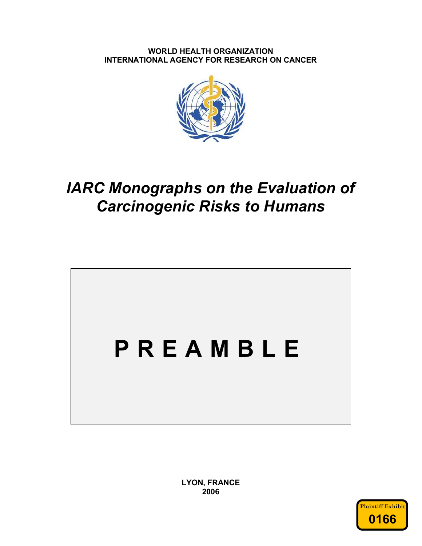**WORLD HEALTH ORGANIZATION INTERNATIONAL AGENCY FOR RESEARCH ON CANCER** 



# *IARC Monographs on the Evaluation of Carcinogenic Risks to Humans*



**LYON, FRANCE 2006** 

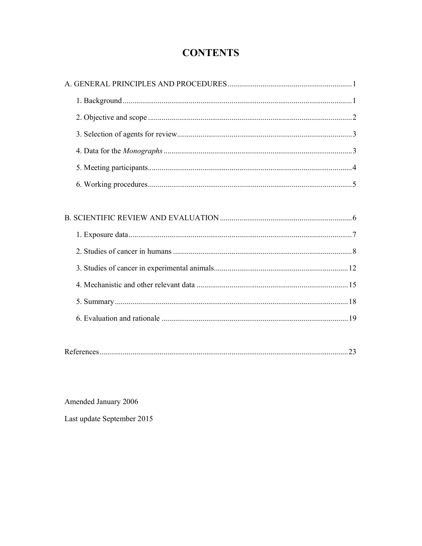## **CONTENTS**

Amended January 2006

Last update September 2015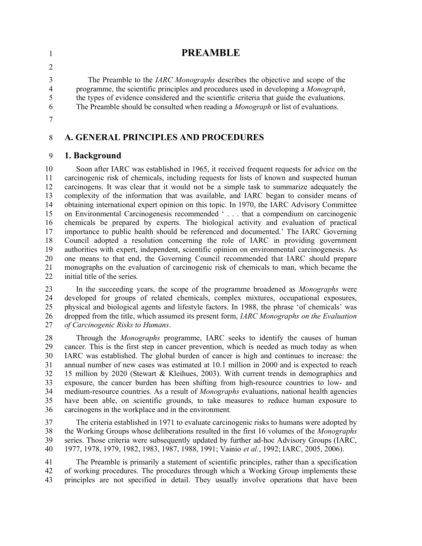|                | <b>PREAMBLE</b>                                                                             |
|----------------|---------------------------------------------------------------------------------------------|
| 2              |                                                                                             |
| 3              | The Preamble to the <i>IARC Monographs</i> describes the objective and scope of the         |
| $\overline{4}$ | programme, the scientific principles and procedures used in developing a <i>Monograph</i> , |
| 5              | the types of evidence considered and the scientific criteria that guide the evaluations.    |
| 6              | The Preamble should be consulted when reading a <i>Monograph</i> or list of evaluations.    |
|                |                                                                                             |
| 8              | <b>A. GENERAL PRINCIPLES AND PROCEDURES</b>                                                 |
| 9              | 1. Background                                                                               |
| 10             | Soon after IARC was established in 1965, it received frequent requests for advice on the    |
| 11             | carcinogenic risk of chemicals, including requests for lists of known and suspected human   |
| 12             | carcinogens. It was clear that it would not be a simple task to summarize adequately the    |
| 13             | complexity of the information that was available and LARC began to consider means of        |

 carcinogenic risk of chemicals, including requests for lists of known and suspected human carcinogens. It was clear that it would not be a simple task to summarize adequately the complexity of the information that was available, and IARC began to consider means of obtaining international expert opinion on this topic. In 1970, the IARC Advisory Committee on Environmental Carcinogenesis recommended ' . . . that a compendium on carcinogenic chemicals be prepared by experts. The biological activity and evaluation of practical importance to public health should be referenced and documented.' The IARC Governing Council adopted a resolution concerning the role of IARC in providing government authorities with expert, independent, scientific opinion on environmental carcinogenesis. As one means to that end, the Governing Council recommended that IARC should prepare monographs on the evaluation of carcinogenic risk of chemicals to man, which became the 22 initial title of the series.

 In the succeeding years, the scope of the programme broadened as *Monographs* were developed for groups of related chemicals, complex mixtures, occupational exposures, physical and biological agents and lifestyle factors. In 1988, the phrase 'of chemicals' was dropped from the title, which assumed its present form, *IARC Monographs on the Evaluation of Carcinogenic Risks to Humans*.

 Through the *Monographs* programme, IARC seeks to identify the causes of human cancer. This is the first step in cancer prevention, which is needed as much today as when IARC was established. The global burden of cancer is high and continues to increase: the annual number of new cases was estimated at 10.1 million in 2000 and is expected to reach 15 million by 2020 (Stewart & Kleihues, 2003). With current trends in demographics and exposure, the cancer burden has been shifting from high-resource countries to low- and medium-resource countries. As a result of *Monographs* evaluations, national health agencies have been able, on scientific grounds, to take measures to reduce human exposure to carcinogens in the workplace and in the environment.

 The criteria established in 1971 to evaluate carcinogenic risks to humans were adopted by the Working Groups whose deliberations resulted in the first 16 volumes of the *Monographs* series. Those criteria were subsequently updated by further ad-hoc Advisory Groups (IARC, 1977, 1978, 1979, 1982, 1983, 1987, 1988, 1991; Vainio *et al.*, 1992; IARC, 2005, 2006).

 The Preamble is primarily a statement of scientific principles, rather than a specification of working procedures. The procedures through which a Working Group implements these principles are not specified in detail. They usually involve operations that have been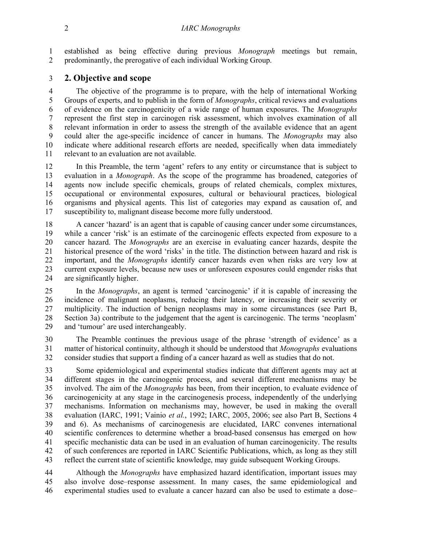established as being effective during previous *Monograph* meetings but remain, predominantly, the prerogative of each individual Working Group.

## **2. Objective and scope**

 The objective of the programme is to prepare, with the help of international Working Groups of experts, and to publish in the form of *Monographs*, critical reviews and evaluations of evidence on the carcinogenicity of a wide range of human exposures. The *Monographs* represent the first step in carcinogen risk assessment, which involves examination of all relevant information in order to assess the strength of the available evidence that an agent could alter the age-specific incidence of cancer in humans. The *Monographs* may also indicate where additional research efforts are needed, specifically when data immediately relevant to an evaluation are not available.

 In this Preamble, the term 'agent' refers to any entity or circumstance that is subject to evaluation in a *Monograph*. As the scope of the programme has broadened, categories of agents now include specific chemicals, groups of related chemicals, complex mixtures, occupational or environmental exposures, cultural or behavioural practices, biological organisms and physical agents. This list of categories may expand as causation of, and susceptibility to, malignant disease become more fully understood.

 A cancer 'hazard' is an agent that is capable of causing cancer under some circumstances, while a cancer 'risk' is an estimate of the carcinogenic effects expected from exposure to a cancer hazard. The *Monographs* are an exercise in evaluating cancer hazards, despite the historical presence of the word 'risks' in the title. The distinction between hazard and risk is important, and the *Monographs* identify cancer hazards even when risks are very low at current exposure levels, because new uses or unforeseen exposures could engender risks that are significantly higher.

 In the *Monographs*, an agent is termed 'carcinogenic' if it is capable of increasing the incidence of malignant neoplasms, reducing their latency, or increasing their severity or multiplicity. The induction of benign neoplasms may in some circumstances (see Part B, Section 3a) contribute to the judgement that the agent is carcinogenic. The terms 'neoplasm' and 'tumour' are used interchangeably.

 The Preamble continues the previous usage of the phrase 'strength of evidence' as a matter of historical continuity, although it should be understood that *Monographs* evaluations consider studies that support a finding of a cancer hazard as well as studies that do not.

 Some epidemiological and experimental studies indicate that different agents may act at different stages in the carcinogenic process, and several different mechanisms may be involved. The aim of the *Monographs* has been, from their inception, to evaluate evidence of carcinogenicity at any stage in the carcinogenesis process, independently of the underlying mechanisms. Information on mechanisms may, however, be used in making the overall evaluation (IARC, 1991; Vainio *et al.*, 1992; IARC, 2005, 2006; see also Part B, Sections 4 39 and 6). As mechanisms of carcinogenesis are elucidated, IARC convenes international 40 scientific conferences to determine whether a broad-based consensus has emerged on how scientific conferences to determine whether a broad-based consensus has emerged on how specific mechanistic data can be used in an evaluation of human carcinogenicity. The results of such conferences are reported in IARC Scientific Publications, which, as long as they still reflect the current state of scientific knowledge, may guide subsequent Working Groups.

 Although the *Monographs* have emphasized hazard identification, important issues may also involve dose–response assessment. In many cases, the same epidemiological and experimental studies used to evaluate a cancer hazard can also be used to estimate a dose–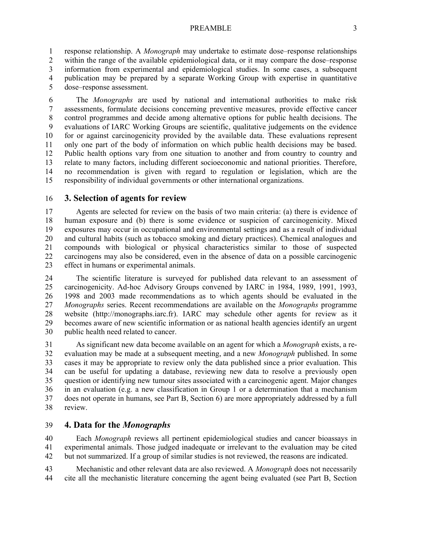response relationship. A *Monograph* may undertake to estimate dose–response relationships within the range of the available epidemiological data, or it may compare the dose–response information from experimental and epidemiological studies. In some cases, a subsequent publication may be prepared by a separate Working Group with expertise in quantitative dose–response assessment.

 The *Monographs* are used by national and international authorities to make risk assessments, formulate decisions concerning preventive measures, provide effective cancer control programmes and decide among alternative options for public health decisions. The evaluations of IARC Working Groups are scientific, qualitative judgements on the evidence for or against carcinogenicity provided by the available data. These evaluations represent only one part of the body of information on which public health decisions may be based. Public health options vary from one situation to another and from country to country and relate to many factors, including different socioeconomic and national priorities. Therefore, no recommendation is given with regard to regulation or legislation, which are the responsibility of individual governments or other international organizations.

#### **3. Selection of agents for review**

 Agents are selected for review on the basis of two main criteria: (a) there is evidence of human exposure and (b) there is some evidence or suspicion of carcinogenicity. Mixed exposures may occur in occupational and environmental settings and as a result of individual and cultural habits (such as tobacco smoking and dietary practices). Chemical analogues and compounds with biological or physical characteristics similar to those of suspected carcinogens may also be considered, even in the absence of data on a possible carcinogenic effect in humans or experimental animals.

 The scientific literature is surveyed for published data relevant to an assessment of carcinogenicity. Ad-hoc Advisory Groups convened by IARC in 1984, 1989, 1991, 1993, 1998 and 2003 made recommendations as to which agents should be evaluated in the *Monographs* series. Recent recommendations are available on the *Monographs* programme website (http://monographs.iarc.fr). IARC may schedule other agents for review as it becomes aware of new scientific information or as national health agencies identify an urgent public health need related to cancer.

 As significant new data become available on an agent for which a *Monograph* exists, a re- evaluation may be made at a subsequent meeting, and a new *Monograph* published. In some cases it may be appropriate to review only the data published since a prior evaluation. This can be useful for updating a database, reviewing new data to resolve a previously open question or identifying new tumour sites associated with a carcinogenic agent. Major changes in an evaluation (e.g. a new classification in Group 1 or a determination that a mechanism does not operate in humans, see Part B, Section 6) are more appropriately addressed by a full review.

#### **4. Data for the** *Monographs*

 Each *Monograph* reviews all pertinent epidemiological studies and cancer bioassays in experimental animals. Those judged inadequate or irrelevant to the evaluation may be cited but not summarized. If a group of similar studies is not reviewed, the reasons are indicated.

 Mechanistic and other relevant data are also reviewed. A *Monograph* does not necessarily cite all the mechanistic literature concerning the agent being evaluated (see Part B, Section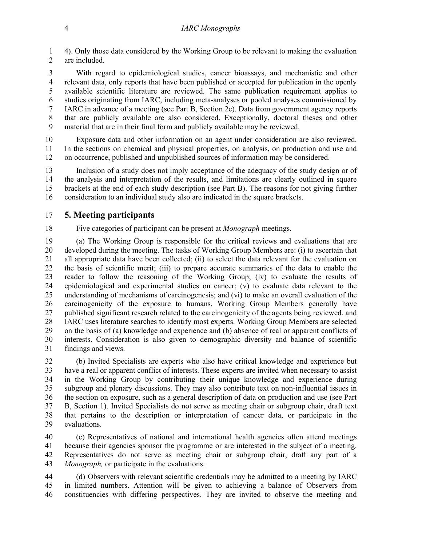4). Only those data considered by the Working Group to be relevant to making the evaluation are included.

 With regard to epidemiological studies, cancer bioassays, and mechanistic and other relevant data, only reports that have been published or accepted for publication in the openly available scientific literature are reviewed. The same publication requirement applies to studies originating from IARC, including meta-analyses or pooled analyses commissioned by IARC in advance of a meeting (see Part B, Section 2c). Data from government agency reports that are publicly available are also considered. Exceptionally, doctoral theses and other material that are in their final form and publicly available may be reviewed.

 Exposure data and other information on an agent under consideration are also reviewed. In the sections on chemical and physical properties, on analysis, on production and use and on occurrence, published and unpublished sources of information may be considered.

 Inclusion of a study does not imply acceptance of the adequacy of the study design or of the analysis and interpretation of the results, and limitations are clearly outlined in square brackets at the end of each study description (see Part B). The reasons for not giving further consideration to an individual study also are indicated in the square brackets.

## **5. Meeting participants**

Five categories of participant can be present at *Monograph* meetings.

 (a) The Working Group is responsible for the critical reviews and evaluations that are developed during the meeting. The tasks of Working Group Members are: (i) to ascertain that all appropriate data have been collected; (ii) to select the data relevant for the evaluation on the basis of scientific merit; (iii) to prepare accurate summaries of the data to enable the reader to follow the reasoning of the Working Group; (iv) to evaluate the results of epidemiological and experimental studies on cancer; (v) to evaluate data relevant to the understanding of mechanisms of carcinogenesis; and (vi) to make an overall evaluation of the carcinogenicity of the exposure to humans. Working Group Members generally have published significant research related to the carcinogenicity of the agents being reviewed, and 28 IARC uses literature searches to identify most experts. Working Group Members are selected<br>29 on the basis of (a) knowledge and experience and (b) absence of real or apparent conflicts of on the basis of (a) knowledge and experience and (b) absence of real or apparent conflicts of interests. Consideration is also given to demographic diversity and balance of scientific findings and views.

 (b) Invited Specialists are experts who also have critical knowledge and experience but have a real or apparent conflict of interests. These experts are invited when necessary to assist in the Working Group by contributing their unique knowledge and experience during subgroup and plenary discussions. They may also contribute text on non-influential issues in the section on exposure, such as a general description of data on production and use (see Part B, Section 1). Invited Specialists do not serve as meeting chair or subgroup chair, draft text that pertains to the description or interpretation of cancer data, or participate in the evaluations.

 (c) Representatives of national and international health agencies often attend meetings because their agencies sponsor the programme or are interested in the subject of a meeting. Representatives do not serve as meeting chair or subgroup chair, draft any part of a *Monograph,* or participate in the evaluations.

 (d) Observers with relevant scientific credentials may be admitted to a meeting by IARC in limited numbers. Attention will be given to achieving a balance of Observers from constituencies with differing perspectives. They are invited to observe the meeting and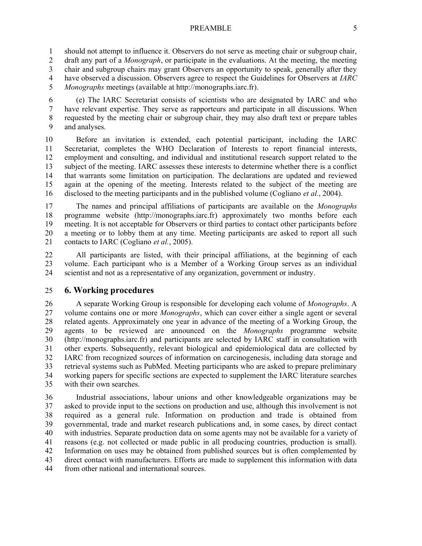should not attempt to influence it. Observers do not serve as meeting chair or subgroup chair, draft any part of a *Monograph*, or participate in the evaluations. At the meeting, the meeting chair and subgroup chairs may grant Observers an opportunity to speak, generally after they have observed a discussion. Observers agree to respect the Guidelines for Observers at *IARC Monographs* meetings (available at http://monographs.iarc.fr).

 (e) The IARC Secretariat consists of scientists who are designated by IARC and who have relevant expertise. They serve as rapporteurs and participate in all discussions. When requested by the meeting chair or subgroup chair, they may also draft text or prepare tables and analyses.

 Before an invitation is extended, each potential participant, including the IARC Secretariat, completes the WHO Declaration of Interests to report financial interests, employment and consulting, and individual and institutional research support related to the subject of the meeting. IARC assesses these interests to determine whether there is a conflict that warrants some limitation on participation. The declarations are updated and reviewed again at the opening of the meeting. Interests related to the subject of the meeting are disclosed to the meeting participants and in the published volume (Cogliano *et al.*, 2004).

 The names and principal affiliations of participants are available on the *Monographs* programme website (http://monographs.iarc.fr) approximately two months before each meeting. It is not acceptable for Observers or third parties to contact other participants before a meeting or to lobby them at any time. Meeting participants are asked to report all such contacts to IARC (Cogliano *et al.*, 2005).

 All participants are listed, with their principal affiliations, at the beginning of each volume. Each participant who is a Member of a Working Group serves as an individual scientist and not as a representative of any organization, government or industry.

## **6. Working procedures**

 A separate Working Group is responsible for developing each volume of *Monographs*. A volume contains one or more *Monographs*, which can cover either a single agent or several 28 related agents. Approximately one year in advance of the meeting of a Working Group, the<br>29 agents to be reviewed are announced on the *Monographs* programme website agents to be reviewed are announced on the *Monographs* programme website (http://monographs.iarc.fr) and participants are selected by IARC staff in consultation with other experts. Subsequently, relevant biological and epidemiological data are collected by IARC from recognized sources of information on carcinogenesis, including data storage and retrieval systems such as PubMed. Meeting participants who are asked to prepare preliminary working papers for specific sections are expected to supplement the IARC literature searches with their own searches.

 Industrial associations, labour unions and other knowledgeable organizations may be asked to provide input to the sections on production and use, although this involvement is not required as a general rule. Information on production and trade is obtained from governmental, trade and market research publications and, in some cases, by direct contact with industries. Separate production data on some agents may not be available for a variety of reasons (e.g. not collected or made public in all producing countries, production is small). Information on uses may be obtained from published sources but is often complemented by direct contact with manufacturers. Efforts are made to supplement this information with data from other national and international sources.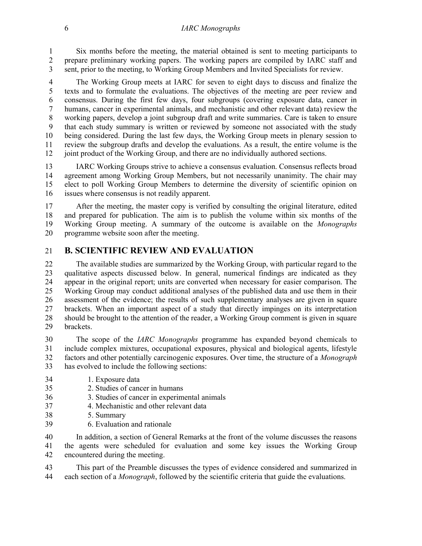Six months before the meeting, the material obtained is sent to meeting participants to prepare preliminary working papers. The working papers are compiled by IARC staff and sent, prior to the meeting, to Working Group Members and Invited Specialists for review.

 The Working Group meets at [IARC](https://www.baumhedlundlaw.com/toxic-tort-law/monsanto-roundup-lawsuit/) for seven to eight days to discuss and finalize the texts and to formulate the evaluations. The objectives of the meeting are peer review and consensus. During the first few days, four subgroups (covering exposure data, cancer in humans, cancer in experimental animals, and mechanistic and other relevant data) review the working papers, develop a joint subgroup draft and write summaries. Care is taken to ensure that each study summary is written or reviewed by someone not associated with the study being considered. During the last few days, the Working Group meets in plenary session to review the subgroup drafts and develop the evaluations. As a result, the entire volume is the joint product of the Working Group, and there are no individually authored sections.

 IARC Working Groups strive to achieve a consensus evaluation. Consensus reflects broad agreement among Working Group Members, but not necessarily unanimity. The chair may elect to poll Working Group Members to determine the diversity of scientific opinion on issues where consensus is not readily apparent.

 After the meeting, the master copy is verified by consulting the original literature, edited and prepared for publication. The aim is to publish the volume within six months of the Working Group meeting. A summary of the outcome is available on the *Monographs* programme website soon after the meeting.

## **B. SCIENTIFIC REVIEW AND EVALUATION**

 The available studies are summarized by the Working Group, with particular regard to the qualitative aspects discussed below. In general, numerical findings are indicated as they appear in the original report; units are converted when necessary for easier comparison. The Working Group may conduct additional analyses of the published data and use them in their assessment of the evidence; the results of such supplementary analyses are given in square brackets. When an important aspect of a study that directly impinges on its interpretation should be brought to the attention of the reader, a Working Group comment is given in square brackets.

 The scope of the *IARC Monographs* programme has expanded beyond chemicals to include complex mixtures, occupational exposures, physical and biological agents, lifestyle factors and other potentially carcinogenic exposures. Over time, the structure of a *Monograph* has evolved to include the following sections:

- 34 1. Exposure data
- 35 2. Studies of cancer in humans
- 36 3. Studies of cancer in experimental animals
- 37 4. Mechanistic and other relevant data
- 38 5. Summary
- 39 6. Evaluation and rationale

 In addition, a section of General Remarks at the front of the volume discusses the reasons the agents were scheduled for evaluation and some key issues the Working Group encountered during the meeting.

 This part of the Preamble discusses the types of evidence considered and summarized in each section of a *Monograph*, followed by the scientific criteria that guide the evaluations.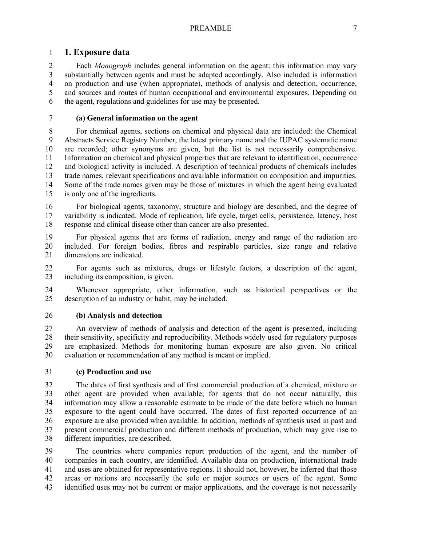## **1. Exposure data**

 Each *Monograph* includes general information on the agent: this information may vary substantially between agents and must be adapted accordingly. Also included is information on production and use (when appropriate), methods of analysis and detection, occurrence, and sources and routes of human occupational and environmental exposures. Depending on the agent, regulations and guidelines for use may be presented.

## **(a) General information on the agent**

 For chemical agents, sections on chemical and physical data are included: the Chemical Abstracts Service Registry Number, the latest primary name and the IUPAC systematic name are recorded; other synonyms are given, but the list is not necessarily comprehensive. Information on chemical and physical properties that are relevant to identification, occurrence and biological activity is included. A description of technical products of chemicals includes trade names, relevant specifications and available information on composition and impurities. Some of the trade names given may be those of mixtures in which the agent being evaluated is only one of the ingredients.

 For biological agents, taxonomy, structure and biology are described, and the degree of variability is indicated. Mode of replication, life cycle, target cells, persistence, latency, host response and clinical disease other than cancer are also presented.

 For physical agents that are forms of radiation, energy and range of the radiation are included. For foreign bodies, fibres and respirable particles, size range and relative dimensions are indicated.

 For agents such as mixtures, drugs or lifestyle factors, a description of the agent, including its composition, is given.

 Whenever appropriate, other information, such as historical perspectives or the description of an industry or habit, may be included.

## **(b) Analysis and detection**

 An overview of methods of analysis and detection of the agent is presented, including their sensitivity, specificity and reproducibility. Methods widely used for regulatory purposes are emphasized. Methods for monitoring human exposure are also given. No critical evaluation or recommendation of any method is meant or implied.

## **(c) Production and use**

 The dates of first synthesis and of first commercial production of a chemical, mixture or other agent are provided when available; for agents that do not occur naturally, this information may allow a reasonable estimate to be made of the date before which no human exposure to the agent could have occurred. The dates of first reported occurrence of an exposure are also provided when available. In addition, methods of synthesis used in past and present commercial production and different methods of production, which may give rise to different impurities, are described.

 The countries where companies report production of the agent, and the number of companies in each country, are identified. Available data on production, international trade and uses are obtained for representative regions. It should not, however, be inferred that those areas or nations are necessarily the sole or major sources or users of the agent. Some identified uses may not be current or major applications, and the coverage is not necessarily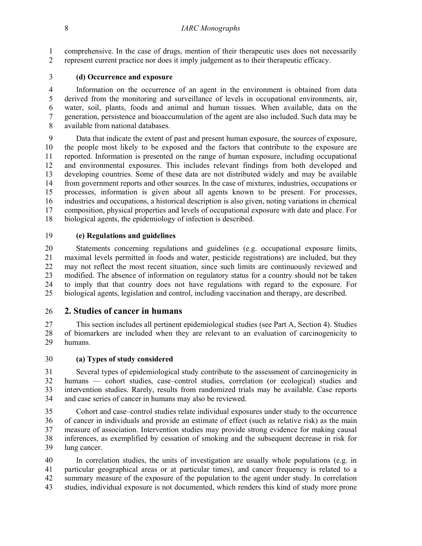comprehensive. In the case of drugs, mention of their therapeutic uses does not necessarily represent current practice nor does it imply judgement as to their therapeutic efficacy.

#### **(d) Occurrence and exposure**

 Information on the occurrence of an agent in the environment is obtained from data derived from the monitoring and surveillance of levels in occupational environments, air, water, soil, plants, foods and animal and human tissues. When available, data on the generation, persistence and bioaccumulation of the agent are also included. Such data may be available from national databases.

 Data that indicate the extent of past and present human exposure, the sources of exposure, the people most likely to be exposed and the factors that contribute to the exposure are reported. Information is presented on the range of human exposure, including occupational and environmental exposures. This includes relevant findings from both developed and developing countries. Some of these data are not distributed widely and may be available from government reports and other sources. In the case of mixtures, industries, occupations or processes, information is given about all agents known to be present. For processes, industries and occupations, a historical description is also given, noting variations in chemical composition, physical properties and levels of occupational exposure with date and place. For biological agents, the epidemiology of infection is described.

#### **(e) Regulations and guidelines**

 Statements concerning regulations and guidelines (e.g. occupational exposure limits, maximal levels permitted in foods and water, pesticide registrations) are included, but they may not reflect the most recent situation, since such limits are continuously reviewed and modified. The absence of information on regulatory status for a country should not be taken to imply that that country does not have regulations with regard to the exposure. For biological agents, legislation and control, including vaccination and therapy, are described.

## **2. Studies of cancer in humans**

 This section includes all pertinent epidemiological studies (see Part A, Section 4). Studies of biomarkers are included when they are relevant to an evaluation of carcinogenicity to humans.

## **(a) Types of study considered**

 Several types of epidemiological study contribute to the assessment of carcinogenicity in humans — cohort studies, case–control studies, correlation (or ecological) studies and intervention studies. Rarely, results from randomized trials may be available. Case reports and case series of cancer in humans may also be reviewed.

 Cohort and case–control studies relate individual exposures under study to the occurrence of cancer in individuals and provide an estimate of effect (such as relative risk) as the main measure of association. Intervention studies may provide strong evidence for making causal inferences, as exemplified by cessation of smoking and the subsequent decrease in risk for lung cancer.

 In correlation studies, the units of investigation are usually whole populations (e.g. in particular geographical areas or at particular times), and cancer frequency is related to a summary measure of the exposure of the population to the agent under study. In correlation studies, individual exposure is not documented, which renders this kind of study more prone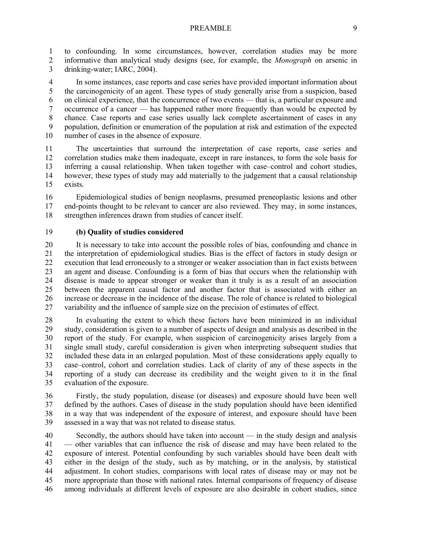to confounding. In some circumstances, however, correlation studies may be more informative than analytical study designs (see, for example, the *Monograph* on arsenic in drinking-water; IARC, 2004).

 In some instances, case reports and case series have provided important information about the carcinogenicity of an agent. These types of study generally arise from a suspicion, based on clinical experience, that the concurrence of two events — that is, a particular exposure and occurrence of a cancer — has happened rather more frequently than would be expected by chance. Case reports and case series usually lack complete ascertainment of cases in any population, definition or enumeration of the population at risk and estimation of the expected number of cases in the absence of exposure.

 The uncertainties that surround the interpretation of case reports, case series and correlation studies make them inadequate, except in rare instances, to form the sole basis for inferring a causal relationship. When taken together with case–control and cohort studies, however, these types of study may add materially to the judgement that a causal relationship exists.

 Epidemiological studies of benign neoplasms, presumed preneoplastic lesions and other end-points thought to be relevant to cancer are also reviewed. They may, in some instances, strengthen inferences drawn from studies of cancer itself.

#### **(b) Quality of studies considered**

 It is necessary to take into account the possible roles of bias, confounding and chance in the interpretation of epidemiological studies. Bias is the effect of factors in study design or execution that lead erroneously to a stronger or weaker association than in fact exists between an agent and disease. Confounding is a form of bias that occurs when the relationship with disease is made to appear stronger or weaker than it truly is as a result of an association between the apparent causal factor and another factor that is associated with either an 26 increase or decrease in the incidence of the disease. The role of chance is related to biological variability and the influence of sample size on the precision of estimates of effect. variability and the influence of sample size on the precision of estimates of effect.

 In evaluating the extent to which these factors have been minimized in an individual study, consideration is given to a number of aspects of design and analysis as described in the report of the study. For example, when suspicion of carcinogenicity arises largely from a single small study, careful consideration is given when interpreting subsequent studies that included these data in an enlarged population. Most of these considerations apply equally to case–control, cohort and correlation studies. Lack of clarity of any of these aspects in the reporting of a study can decrease its credibility and the weight given to it in the final evaluation of the exposure.

 Firstly, the study population, disease (or diseases) and exposure should have been well defined by the authors. Cases of disease in the study population should have been identified in a way that was independent of the exposure of interest, and exposure should have been assessed in a way that was not related to disease status.

 Secondly, the authors should have taken into account — in the study design and analysis — other variables that can influence the risk of disease and may have been related to the exposure of interest. Potential confounding by such variables should have been dealt with either in the design of the study, such as by matching, or in the analysis, by statistical adjustment. In cohort studies, comparisons with local rates of disease may or may not be more appropriate than those with national rates. Internal comparisons of frequency of disease among individuals at different levels of exposure are also desirable in cohort studies, since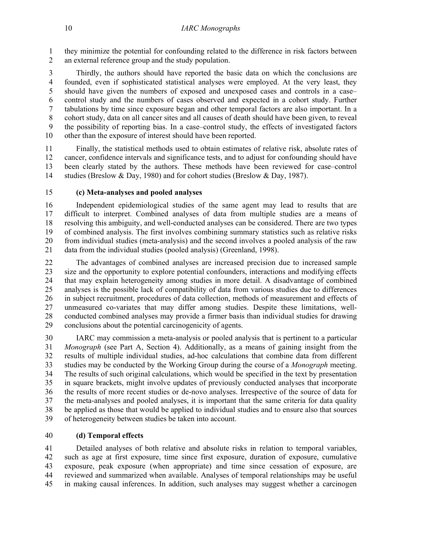they minimize the potential for confounding related to the difference in risk factors between an external reference group and the study population.

 Thirdly, the authors should have reported the basic data on which the conclusions are founded, even if sophisticated statistical analyses were employed. At the very least, they should have given the numbers of exposed and unexposed cases and controls in a case– control study and the numbers of cases observed and expected in a cohort study. Further tabulations by time since exposure began and other temporal factors are also important. In a cohort study, data on all cancer sites and all causes of death should have been given, to reveal the possibility of reporting bias. In a case–control study, the effects of investigated factors other than the exposure of interest should have been reported.

 Finally, the statistical methods used to obtain estimates of relative risk, absolute rates of cancer, confidence intervals and significance tests, and to adjust for confounding should have been clearly stated by the authors. These methods have been reviewed for case–control 14 studies (Breslow & Day, 1980) and for cohort studies (Breslow & Day, 1987).

#### **(c) Meta-analyses and pooled analyses**

 Independent epidemiological studies of the same agent may lead to results that are difficult to interpret. Combined analyses of data from multiple studies are a means of resolving this ambiguity, and well-conducted analyses can be considered. There are two types of combined analysis. The first involves combining summary statistics such as relative risks from individual studies (meta-analysis) and the second involves a pooled analysis of the raw data from the individual studies (pooled analysis) (Greenland, 1998).

 The advantages of combined analyses are increased precision due to increased sample size and the opportunity to explore potential confounders, interactions and modifying effects that may explain heterogeneity among studies in more detail. A disadvantage of combined analyses is the possible lack of compatibility of data from various studies due to differences in subject recruitment, procedures of data collection, methods of measurement and effects of unmeasured co-variates that may differ among studies. Despite these limitations, well- conducted combined analyses may provide a firmer basis than individual studies for drawing conclusions about the potential carcinogenicity of agents.

 IARC may commission a meta-analysis or pooled analysis that is pertinent to a particular *Monograph* (see Part A, Section 4). Additionally, as a means of gaining insight from the results of multiple individual studies, ad-hoc calculations that combine data from different studies may be conducted by the Working Group during the course of a *Monograph* meeting. The results of such original calculations, which would be specified in the text by presentation in square brackets, might involve updates of previously conducted analyses that incorporate the results of more recent studies or de-novo analyses. Irrespective of the source of data for the meta-analyses and pooled analyses, it is important that the same criteria for data quality be applied as those that would be applied to individual studies and to ensure also that sources of heterogeneity between studies be taken into account.

## **(d) Temporal effects**

 Detailed analyses of both relative and absolute risks in relation to temporal variables, such as age at first exposure, time since first exposure, duration of exposure, cumulative exposure, peak exposure (when appropriate) and time since cessation of exposure, are reviewed and summarized when available. Analyses of temporal relationships may be useful in making causal inferences. In addition, such analyses may suggest whether a carcinogen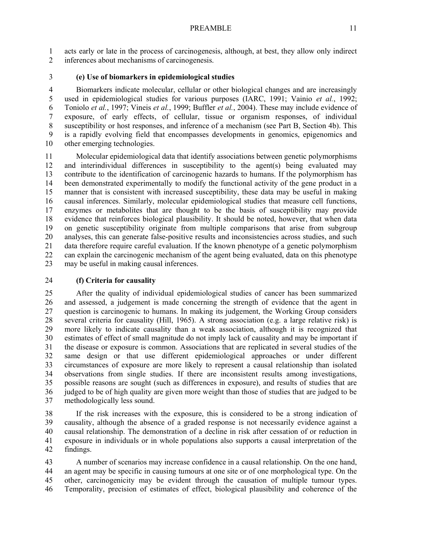acts early or late in the process of carcinogenesis, although, at best, they allow only indirect inferences about mechanisms of carcinogenesis.

## **(e) Use of biomarkers in epidemiological studies**

 Biomarkers indicate molecular, cellular or other biological changes and are increasingly used in epidemiological studies for various purposes (IARC, 1991; Vainio *et al.*, 1992; Toniolo *et al.*, 1997; Vineis *et al.*, 1999; Buffler *et al.*, 2004). These may include evidence of exposure, of early effects, of cellular, tissue or organism responses, of individual susceptibility or host responses, and inference of a mechanism (see Part B, Section 4b). This is a rapidly evolving field that encompasses developments in genomics, epigenomics and other emerging technologies.

 Molecular epidemiological data that identify associations between genetic polymorphisms and interindividual differences in susceptibility to the agent(s) being evaluated may contribute to the identification of carcinogenic hazards to humans. If the polymorphism has been demonstrated experimentally to modify the functional activity of the gene product in a manner that is consistent with increased susceptibility, these data may be useful in making causal inferences. Similarly, molecular epidemiological studies that measure cell functions, enzymes or metabolites that are thought to be the basis of susceptibility may provide evidence that reinforces biological plausibility. It should be noted, however, that when data on genetic susceptibility originate from multiple comparisons that arise from subgroup analyses, this can generate false-positive results and inconsistencies across studies, and such data therefore require careful evaluation. If the known phenotype of a genetic polymorphism can explain the carcinogenic mechanism of the agent being evaluated, data on this phenotype may be useful in making causal inferences.

## **(f) Criteria for causality**

 After the quality of individual epidemiological studies of cancer has been summarized and assessed, a judgement is made concerning the strength of evidence that the agent in question is carcinogenic to humans. In making its judgement, the Working Group considers several criteria for causality (Hill, 1965). A strong association (e.g. a large relative risk) is more likely to indicate causality than a weak association, although it is recognized that estimates of effect of small magnitude do not imply lack of causality and may be important if the disease or exposure is common. Associations that are replicated in several studies of the same design or that use different epidemiological approaches or under different circumstances of exposure are more likely to represent a causal relationship than isolated observations from single studies. If there are inconsistent results among investigations, possible reasons are sought (such as differences in exposure), and results of studies that are judged to be of high quality are given more weight than those of studies that are judged to be methodologically less sound.

 If the risk increases with the exposure, this is considered to be a strong indication of causality, although the absence of a graded response is not necessarily evidence against a causal relationship. The demonstration of a decline in risk after cessation of or reduction in exposure in individuals or in whole populations also supports a causal interpretation of the findings.

 A number of scenarios may increase confidence in a causal relationship. On the one hand, an agent may be specific in causing tumours at one site or of one morphological type. On the other, carcinogenicity may be evident through the causation of multiple tumour types. Temporality, precision of estimates of effect, biological plausibility and coherence of the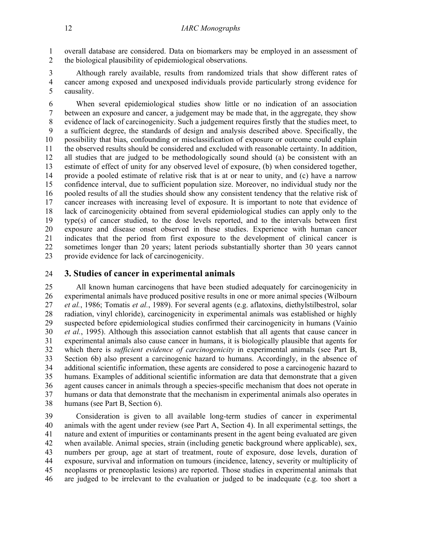overall database are considered. Data on biomarkers may be employed in an assessment of the biological plausibility of epidemiological observations.

 Although rarely available, results from randomized trials that show different rates of cancer among exposed and unexposed individuals provide particularly strong evidence for causality.

 When several epidemiological studies show little or no indication of an association between an exposure and cancer, a judgement may be made that, in the aggregate, they show evidence of lack of carcinogenicity. Such a judgement requires firstly that the studies meet, to a sufficient degree, the standards of design and analysis described above. Specifically, the possibility that bias, confounding or misclassification of exposure or outcome could explain the observed results should be considered and excluded with reasonable certainty. In addition, all studies that are judged to be methodologically sound should (a) be consistent with an estimate of effect of unity for any observed level of exposure, (b) when considered together, provide a pooled estimate of relative risk that is at or near to unity, and (c) have a narrow confidence interval, due to sufficient population size. Moreover, no individual study nor the pooled results of all the studies should show any consistent tendency that the relative risk of cancer increases with increasing level of exposure. It is important to note that evidence of lack of carcinogenicity obtained from several epidemiological studies can apply only to the type(s) of cancer studied, to the dose levels reported, and to the intervals between first exposure and disease onset observed in these studies. Experience with human cancer indicates that the period from first exposure to the development of clinical cancer is sometimes longer than 20 years; latent periods substantially shorter than 30 years cannot provide evidence for lack of carcinogenicity.

#### **3. Studies of cancer in experimental animals**

 All known human carcinogens that have been studied adequately for carcinogenicity in experimental animals have produced positive results in one or more animal species (Wilbourn *et al.*, 1986; Tomatis *et al.*, 1989). For several agents (e.g. aflatoxins, diethylstilbestrol, solar radiation, vinyl chloride), carcinogenicity in experimental animals was established or highly suspected before epidemiological studies confirmed their carcinogenicity in humans (Vainio *et al.*, 1995). Although this association cannot establish that all agents that cause cancer in experimental animals also cause cancer in humans, it is biologically plausible that agents for which there is *sufficient evidence of carcinogenicity* in experimental animals (see Part B, Section 6b) also present a carcinogenic hazard to humans. Accordingly, in the absence of additional scientific information, these agents are considered to pose a carcinogenic hazard to humans. Examples of additional scientific information are data that demonstrate that a given agent causes cancer in animals through a species-specific mechanism that does not operate in humans or data that demonstrate that the mechanism in experimental animals also operates in humans (see Part B, Section 6).

 Consideration is given to all available long-term studies of cancer in experimental animals with the agent under review (see Part A, Section 4). In all experimental settings, the nature and extent of impurities or contaminants present in the agent being evaluated are given when available. Animal species, strain (including genetic background where applicable), sex, numbers per group, age at start of treatment, route of exposure, dose levels, duration of exposure, survival and information on tumours (incidence, latency, severity or multiplicity of neoplasms or preneoplastic lesions) are reported. Those studies in experimental animals that are judged to be irrelevant to the evaluation or judged to be inadequate (e.g. too short a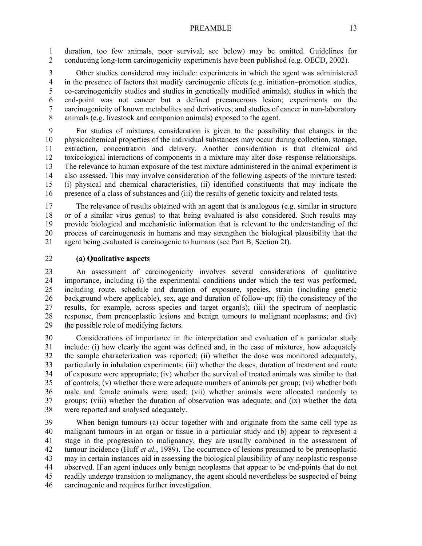duration, too few animals, poor survival; see below) may be omitted. Guidelines for 2 conducting long-term carcinogenicity experiments have been published (e.g. OECD, 2002).

 Other studies considered may include: experiments in which the agent was administered in the presence of factors that modify carcinogenic effects (e.g. initiation–promotion studies, co-carcinogenicity studies and studies in genetically modified animals); studies in which the end-point was not cancer but a defined precancerous lesion; experiments on the carcinogenicity of known metabolites and derivatives; and studies of cancer in non-laboratory animals (e.g. livestock and companion animals) exposed to the agent.

 For studies of mixtures, consideration is given to the possibility that changes in the physicochemical properties of the individual substances may occur during collection, storage, extraction, concentration and delivery. Another consideration is that chemical and toxicological interactions of components in a mixture may alter dose–response relationships. The relevance to human exposure of the test mixture administered in the animal experiment is also assessed. This may involve consideration of the following aspects of the mixture tested: (i) physical and chemical characteristics, (ii) identified constituents that may indicate the presence of a class of substances and (iii) the results of genetic toxicity and related tests.

 The relevance of results obtained with an agent that is analogous (e.g. similar in structure 18 or of a similar virus genus) to that being evaluated is also considered. Such results may<br>19 provide biological and mechanistic information that is relevant to the understanding of the provide biological and mechanistic information that is relevant to the understanding of the process of carcinogenesis in humans and may strengthen the biological plausibility that the agent being evaluated is carcinogenic to humans (see Part B, Section 2f).

## **(a) Qualitative aspects**

 An assessment of carcinogenicity involves several considerations of qualitative importance, including (i) the experimental conditions under which the test was performed, including route, schedule and duration of exposure, species, strain (including genetic 26 background where applicable), sex, age and duration of follow-up; (ii) the consistency of the results, for example, across species and target organ(s); (iii) the spectrum of neoplastic results, for example, across species and target organ(s); (iii) the spectrum of neoplastic response, from preneoplastic lesions and benign tumours to malignant neoplasms; and (iv) the possible role of modifying factors.

 Considerations of importance in the interpretation and evaluation of a particular study include: (i) how clearly the agent was defined and, in the case of mixtures, how adequately the sample characterization was reported; (ii) whether the dose was monitored adequately, particularly in inhalation experiments; (iii) whether the doses, duration of treatment and route of exposure were appropriate; (iv) whether the survival of treated animals was similar to that of controls; (v) whether there were adequate numbers of animals per group; (vi) whether both male and female animals were used; (vii) whether animals were allocated randomly to groups; (viii) whether the duration of observation was adequate; and (ix) whether the data were reported and analysed adequately.

 When benign tumours (a) occur together with and originate from the same cell type as malignant tumours in an organ or tissue in a particular study and (b) appear to represent a stage in the progression to malignancy, they are usually combined in the assessment of tumour incidence (Huff *et al.*, 1989). The occurrence of lesions presumed to be preneoplastic may in certain instances aid in assessing the biological plausibility of any neoplastic response observed. If an agent induces only benign neoplasms that appear to be end-points that do not readily undergo transition to malignancy, the agent should nevertheless be suspected of being carcinogenic and requires further investigation.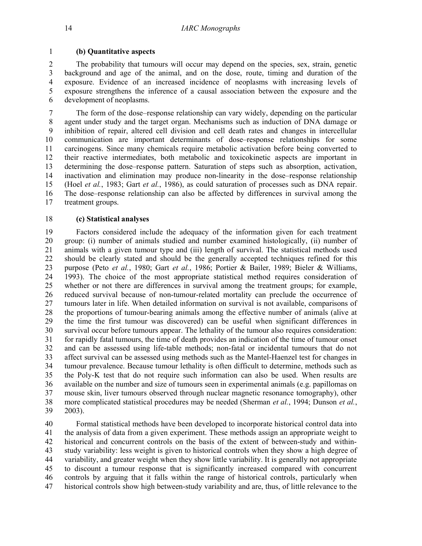## **(b) Quantitative aspects**

 The probability that tumours will occur may depend on the species, sex, strain, genetic background and age of the animal, and on the dose, route, timing and duration of the exposure. Evidence of an increased incidence of neoplasms with increasing levels of exposure strengthens the inference of a causal association between the exposure and the development of neoplasms.

 The form of the dose–response relationship can vary widely, depending on the particular agent under study and the target organ. Mechanisms such as induction of DNA damage or inhibition of repair, altered cell division and cell death rates and changes in intercellular communication are important determinants of dose–response relationships for some carcinogens. Since many chemicals require metabolic activation before being converted to their reactive intermediates, both metabolic and toxicokinetic aspects are important in determining the dose–response pattern. Saturation of steps such as absorption, activation, inactivation and elimination may produce non-linearity in the dose–response relationship (Hoel *et al.*, 1983; Gart *et al.*, 1986), as could saturation of processes such as DNA repair. The dose–response relationship can also be affected by differences in survival among the treatment groups.

## **(c) Statistical analyses**

 Factors considered include the adequacy of the information given for each treatment group: (i) number of animals studied and number examined histologically, (ii) number of animals with a given tumour type and (iii) length of survival. The statistical methods used should be clearly stated and should be the generally accepted techniques refined for this purpose (Peto *et al.*, 1980; Gart *et al.*, 1986; Portier & Bailer, 1989; Bieler & Williams, 1993). The choice of the most appropriate statistical method requires consideration of whether or not there are differences in survival among the treatment groups; for example, reduced survival because of non-tumour-related mortality can preclude the occurrence of tumours later in life. When detailed information on survival is not available, comparisons of the proportions of tumour-bearing animals among the effective number of animals (alive at the time the first tumour was discovered) can be useful when significant differences in survival occur before tumours appear. The lethality of the tumour also requires consideration: for rapidly fatal tumours, the time of death provides an indication of the time of tumour onset and can be assessed using life-table methods; non-fatal or incidental tumours that do not affect survival can be assessed using methods such as the Mantel-Haenzel test for changes in tumour prevalence. Because tumour lethality is often difficult to determine, methods such as the Poly-K test that do not require such information can also be used. When results are available on the number and size of tumours seen in experimental animals (e.g. papillomas on mouse skin, liver tumours observed through nuclear magnetic resonance tomography), other more complicated statistical procedures may be needed (Sherman *et al.*, 1994; Dunson *et al.*, 2003).

 Formal statistical methods have been developed to incorporate historical control data into the analysis of data from a given experiment. These methods assign an appropriate weight to historical and concurrent controls on the basis of the extent of between-study and within- study variability: less weight is given to historical controls when they show a high degree of variability, and greater weight when they show little variability. It is generally not appropriate to discount a tumour response that is significantly increased compared with concurrent controls by arguing that it falls within the range of historical controls, particularly when historical controls show high between-study variability and are, thus, of little relevance to the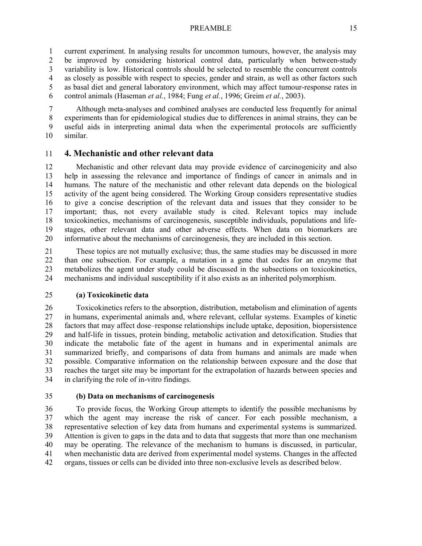current experiment. In analysing results for uncommon tumours, however, the analysis may be improved by considering historical control data, particularly when between-study variability is low. Historical controls should be selected to resemble the concurrent controls as closely as possible with respect to species, gender and strain, as well as other factors such as basal diet and general laboratory environment, which may affect tumour-response rates in control animals (Haseman *et al.*, 1984; Fung *et al.*, 1996; Greim *et al.*, 2003).

 Although meta-analyses and combined analyses are conducted less frequently for animal experiments than for epidemiological studies due to differences in animal strains, they can be useful aids in interpreting animal data when the experimental protocols are sufficiently similar.

## **4. Mechanistic and other relevant data**

 Mechanistic and other relevant data may provide evidence of carcinogenicity and also help in assessing the relevance and importance of findings of cancer in animals and in humans. The nature of the mechanistic and other relevant data depends on the biological activity of the agent being considered. The Working Group considers representative studies to give a concise description of the relevant data and issues that they consider to be important; thus, not every available study is cited. Relevant topics may include toxicokinetics, mechanisms of carcinogenesis, susceptible individuals, populations and life- stages, other relevant data and other adverse effects. When data on biomarkers are informative about the mechanisms of carcinogenesis, they are included in this section.

 These topics are not mutually exclusive; thus, the same studies may be discussed in more than one subsection. For example, a mutation in a gene that codes for an enzyme that metabolizes the agent under study could be discussed in the subsections on toxicokinetics, mechanisms and individual susceptibility if it also exists as an inherited polymorphism.

#### **(a) Toxicokinetic data**

 Toxicokinetics refers to the absorption, distribution, metabolism and elimination of agents in humans, experimental animals and, where relevant, cellular systems. Examples of kinetic factors that may affect dose–response relationships include uptake, deposition, biopersistence and half-life in tissues, protein binding, metabolic activation and detoxification. Studies that indicate the metabolic fate of the agent in humans and in experimental animals are summarized briefly, and comparisons of data from humans and animals are made when possible. Comparative information on the relationship between exposure and the dose that reaches the target site may be important for the extrapolation of hazards between species and in clarifying the role of in-vitro findings.

#### **(b) Data on mechanisms of carcinogenesis**

 To provide focus, the Working Group attempts to identify the possible mechanisms by which the agent may increase the risk of cancer. For each possible mechanism, a representative selection of key data from humans and experimental systems is summarized. Attention is given to gaps in the data and to data that suggests that more than one mechanism may be operating. The relevance of the mechanism to humans is discussed, in particular, when mechanistic data are derived from experimental model systems. Changes in the affected organs, tissues or cells can be divided into three non-exclusive levels as described below.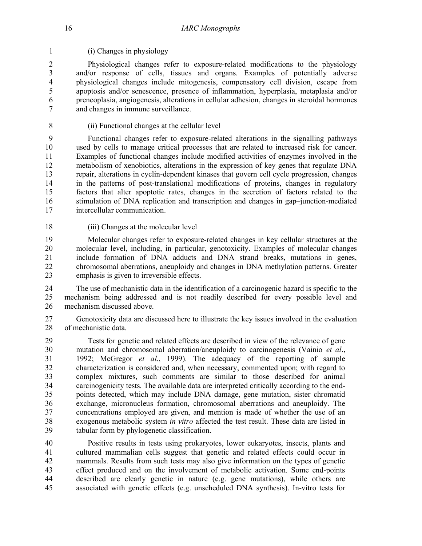(i) Changes in physiology

2 Physiological changes refer to exposure-related modifications to the physiology<br>3 and/or response of cells, tissues and organs. Examples of potentially adverse and/or response of cells, tissues and organs. Examples of potentially adverse physiological changes include mitogenesis, compensatory cell division, escape from apoptosis and/or senescence, presence of inflammation, hyperplasia, metaplasia and/or preneoplasia, angiogenesis, alterations in cellular adhesion, changes in steroidal hormones and changes in immune surveillance.

(ii) Functional changes at the cellular level

 Functional changes refer to exposure-related alterations in the signalling pathways used by cells to manage critical processes that are related to increased risk for cancer. Examples of functional changes include modified activities of enzymes involved in the metabolism of xenobiotics, alterations in the expression of key genes that regulate DNA repair, alterations in cyclin-dependent kinases that govern cell cycle progression, changes in the patterns of post-translational modifications of proteins, changes in regulatory factors that alter apoptotic rates, changes in the secretion of factors related to the stimulation of DNA replication and transcription and changes in gap–junction-mediated intercellular communication.

(iii) Changes at the molecular level

 Molecular changes refer to exposure-related changes in key cellular structures at the molecular level, including, in particular, genotoxicity. Examples of molecular changes include formation of DNA adducts and DNA strand breaks, mutations in genes, chromosomal aberrations, aneuploidy and changes in DNA methylation patterns. Greater emphasis is given to irreversible effects.

 The use of mechanistic data in the identification of a carcinogenic hazard is specific to the mechanism being addressed and is not readily described for every possible level and mechanism discussed above.

 Genotoxicity data are discussed here to illustrate the key issues involved in the evaluation of mechanistic data.

29 Tests for genetic and related effects are described in view of the relevance of gene<br>30 mutation and chromosomal aberration/aneuploidy to carcinogenesis (Vainio *et al.*, mutation and chromosomal aberration/aneuploidy to carcinogenesis (Vainio *et al*., 1992; McGregor *et al*., 1999). The adequacy of the reporting of sample characterization is considered and, when necessary, commented upon; with regard to complex mixtures, such comments are similar to those described for animal carcinogenicity tests. The available data are interpreted critically according to the end- points detected, which may include DNA damage, gene mutation, sister chromatid exchange, micronucleus formation, chromosomal aberrations and aneuploidy. The concentrations employed are given, and mention is made of whether the use of an exogenous metabolic system *in vitro* affected the test result. These data are listed in tabular form by phylogenetic classification.

 Positive results in tests using prokaryotes, lower eukaryotes, insects, plants and cultured mammalian cells suggest that genetic and related effects could occur in mammals. Results from such tests may also give information on the types of genetic effect produced and on the involvement of metabolic activation. Some end-points described are clearly genetic in nature (e.g. gene mutations), while others are associated with genetic effects (e.g. unscheduled DNA synthesis). In-vitro tests for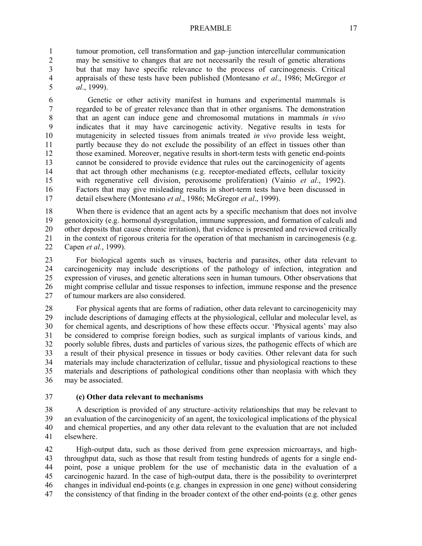tumour promotion, cell transformation and gap–junction intercellular communication 2 may be sensitive to changes that are not necessarily the result of genetic alterations but that may have specific relevance to the process of carcinogenesis. Critical appraisals of these tests have been published (Montesano *et al*., 1986; McGregor *et al*., 1999).

 Genetic or other activity manifest in humans and experimental mammals is regarded to be of greater relevance than that in other organisms. The demonstration that an agent can induce gene and chromosomal mutations in mammals *in vivo*  indicates that it may have carcinogenic activity. Negative results in tests for mutagenicity in selected tissues from animals treated *in vivo* provide less weight, partly because they do not exclude the possibility of an effect in tissues other than those examined. Moreover, negative results in short-term tests with genetic end-points cannot be considered to provide evidence that rules out the carcinogenicity of agents that act through other mechanisms (e.g. receptor-mediated effects, cellular toxicity with regenerative cell division, peroxisome proliferation) (Vainio *et al*., 1992). Factors that may give misleading results in short-term tests have been discussed in detail elsewhere (Montesano *et al*., 1986; McGregor *et al*., 1999).

 When there is evidence that an agent acts by a specific mechanism that does not involve genotoxicity (e.g. hormonal dysregulation, immune suppression, and formation of calculi and other deposits that cause chronic irritation), that evidence is presented and reviewed critically in the context of rigorous criteria for the operation of that mechanism in carcinogenesis (e.g. Capen *et al.*, 1999).

 For biological agents such as viruses, bacteria and parasites, other data relevant to carcinogenicity may include descriptions of the pathology of infection, integration and expression of viruses, and genetic alterations seen in human tumours. Other observations that might comprise cellular and tissue responses to infection, immune response and the presence of tumour markers are also considered.

 For physical agents that are forms of radiation, other data relevant to carcinogenicity may include descriptions of damaging effects at the physiological, cellular and molecular level, as for chemical agents, and descriptions of how these effects occur. 'Physical agents' may also be considered to comprise foreign bodies, such as surgical implants of various kinds, and poorly soluble fibres, dusts and particles of various sizes, the pathogenic effects of which are a result of their physical presence in tissues or body cavities. Other relevant data for such materials may include characterization of cellular, tissue and physiological reactions to these materials and descriptions of pathological conditions other than neoplasia with which they may be associated.

#### **(c) Other data relevant to mechanisms**

 A description is provided of any structure–activity relationships that may be relevant to an evaluation of the carcinogenicity of an agent, the toxicological implications of the physical and chemical properties, and any other data relevant to the evaluation that are not included elsewhere.

 High-output data, such as those derived from gene expression microarrays, and high- throughput data, such as those that result from testing hundreds of agents for a single end- point, pose a unique problem for the use of mechanistic data in the evaluation of a carcinogenic hazard. In the case of high-output data, there is the possibility to overinterpret changes in individual end-points (e.g. changes in expression in one gene) without considering the consistency of that finding in the broader context of the other end-points (e.g. other genes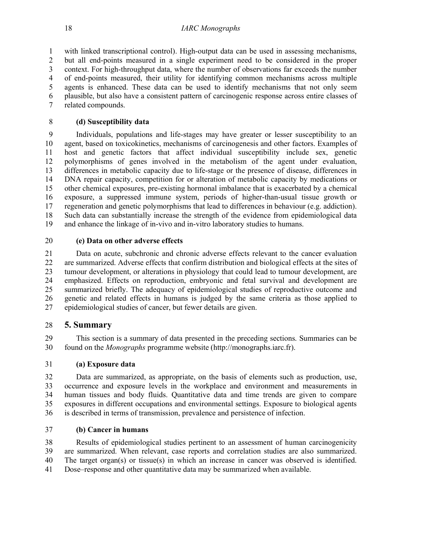with linked transcriptional control). High-output data can be used in assessing mechanisms, but all end-points measured in a single experiment need to be considered in the proper context. For high-throughput data, where the number of observations far exceeds the number of end-points measured, their utility for identifying common mechanisms across multiple agents is enhanced. These data can be used to identify mechanisms that not only seem plausible, but also have a consistent pattern of carcinogenic response across entire classes of related compounds.

## **(d) Susceptibility data**

 Individuals, populations and life-stages may have greater or lesser susceptibility to an agent, based on toxicokinetics, mechanisms of carcinogenesis and other factors. Examples of host and genetic factors that affect individual susceptibility include sex, genetic polymorphisms of genes involved in the metabolism of the agent under evaluation, differences in metabolic capacity due to life-stage or the presence of disease, differences in DNA repair capacity, competition for or alteration of metabolic capacity by medications or other chemical exposures, pre-existing hormonal imbalance that is exacerbated by a chemical exposure, a suppressed immune system, periods of higher-than-usual tissue growth or regeneration and genetic polymorphisms that lead to differences in behaviour (e.g. addiction). 18 Such data can substantially increase the strength of the evidence from epidemiological data<br>19 and enhance the linkage of in-vivo and in-vitro laboratory studies to humans. and enhance the linkage of in-vivo and in-vitro laboratory studies to humans.

#### **(e) Data on other adverse effects**

 Data on acute, subchronic and chronic adverse effects relevant to the cancer evaluation are summarized. Adverse effects that confirm distribution and biological effects at the sites of tumour development, or alterations in physiology that could lead to tumour development, are emphasized. Effects on reproduction, embryonic and fetal survival and development are summarized briefly. The adequacy of epidemiological studies of reproductive outcome and 26 genetic and related effects in humans is judged by the same criteria as those applied to epidemiological studies of cancer, but fewer details are given. epidemiological studies of cancer, but fewer details are given.

## **5. Summary**

 This section is a summary of data presented in the preceding sections. Summaries can be found on the *Monographs* programme website (http://monographs.iarc.fr).

## **(a) Exposure data**

 Data are summarized, as appropriate, on the basis of elements such as production, use, occurrence and exposure levels in the workplace and environment and measurements in human tissues and body fluids. Quantitative data and time trends are given to compare exposures in different occupations and environmental settings. Exposure to biological agents is described in terms of transmission, prevalence and persistence of infection.

## **(b) Cancer in humans**

 Results of epidemiological studies pertinent to an assessment of human carcinogenicity are summarized. When relevant, case reports and correlation studies are also summarized. The target organ(s) or tissue(s) in which an increase in cancer was observed is identified. Dose–response and other quantitative data may be summarized when available.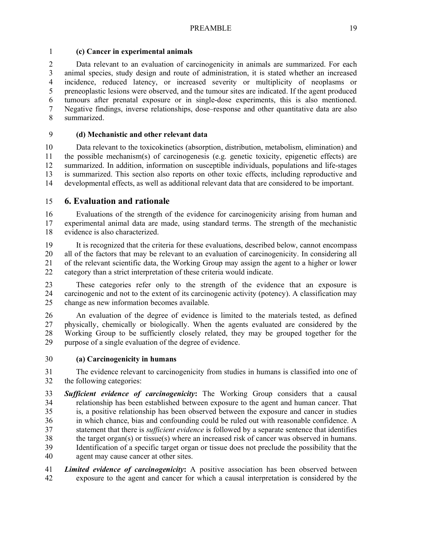## **(c) Cancer in experimental animals**

 Data relevant to an evaluation of carcinogenicity in animals are summarized. For each animal species, study design and route of administration, it is stated whether an increased incidence, reduced latency, or increased severity or multiplicity of neoplasms or preneoplastic lesions were observed, and the tumour sites are indicated. If the agent produced tumours after prenatal exposure or in single-dose experiments, this is also mentioned. Negative findings, inverse relationships, dose–response and other quantitative data are also summarized.

## **(d) Mechanistic and other relevant data**

 Data relevant to the toxicokinetics (absorption, distribution, metabolism, elimination) and the possible mechanism(s) of carcinogenesis (e.g. genetic toxicity, epigenetic effects) are summarized. In addition, information on susceptible individuals, populations and life-stages is summarized. This section also reports on other toxic effects, including reproductive and developmental effects, as well as additional relevant data that are considered to be important.

## **6. Evaluation and rationale**

 Evaluations of the strength of the evidence for carcinogenicity arising from human and experimental animal data are made, using standard terms. The strength of the mechanistic evidence is also characterized.

 It is recognized that the criteria for these evaluations, described below, cannot encompass all of the factors that may be relevant to an evaluation of carcinogenicity. In considering all of the relevant scientific data, the Working Group may assign the agent to a higher or lower category than a strict interpretation of these criteria would indicate.

 These categories refer only to the strength of the evidence that an exposure is carcinogenic and not to the extent of its carcinogenic activity (potency). A classification may change as new information becomes available.

 An evaluation of the degree of evidence is limited to the materials tested, as defined physically, chemically or biologically. When the agents evaluated are considered by the Working Group to be sufficiently closely related, they may be grouped together for the purpose of a single evaluation of the degree of evidence.

## **(a) Carcinogenicity in humans**

 The evidence relevant to carcinogenicity from studies in humans is classified into one of the following categories:

 *Sufficient evidence of carcinogenicity***:** The Working Group considers that a causal relationship has been established between exposure to the agent and human cancer. That is, a positive relationship has been observed between the exposure and cancer in studies in which chance, bias and confounding could be ruled out with reasonable confidence. A statement that there is *sufficient evidence* is followed by a separate sentence that identifies the target organ(s) or tissue(s) where an increased risk of cancer was observed in humans. Identification of a specific target organ or tissue does not preclude the possibility that the agent may cause cancer at other sites.

 *Limited evidence of carcinogenicity***:** A positive association has been observed between exposure to the agent and cancer for which a causal interpretation is considered by the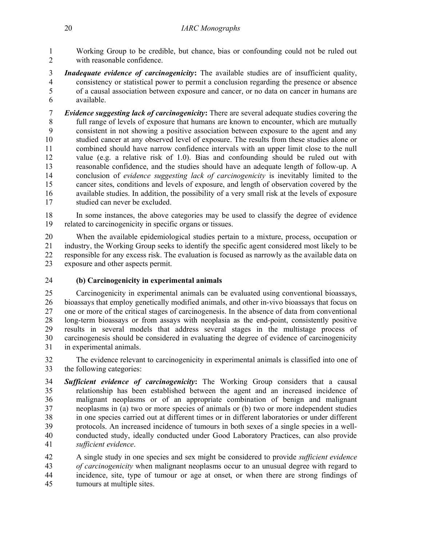Working Group to be credible, but chance, bias or confounding could not be ruled out with reasonable confidence.

- *Inadequate evidence of carcinogenicity***:** The available studies are of insufficient quality, consistency or statistical power to permit a conclusion regarding the presence or absence of a causal association between exposure and cancer, or no data on cancer in humans are available.
- *Fortiance suggesting lack of carcinogenicity*: There are several adequate studies covering the full range of levels of exposure that humans are known to encounter, which are mutually full range of levels of exposure that humans are known to encounter, which are mutually consistent in not showing a positive association between exposure to the agent and any studied cancer at any observed level of exposure. The results from these studies alone or combined should have narrow confidence intervals with an upper limit close to the null value (e.g. a relative risk of 1.0). Bias and confounding should be ruled out with reasonable confidence, and the studies should have an adequate length of follow-up. A conclusion of *evidence suggesting lack of carcinogenicity* is inevitably limited to the cancer sites, conditions and levels of exposure, and length of observation covered by the available studies. In addition, the possibility of a very small risk at the levels of exposure studied can never be excluded.

18 In some instances, the above categories may be used to classify the degree of evidence<br>19 related to carcinogenicity in specific organs or tissues. related to carcinogenicity in specific organs or tissues.

 When the available epidemiological studies pertain to a mixture, process, occupation or industry, the Working Group seeks to identify the specific agent considered most likely to be responsible for any excess risk. The evaluation is focused as narrowly as the available data on exposure and other aspects permit.

## **(b) Carcinogenicity in experimental animals**

 Carcinogenicity in experimental animals can be evaluated using conventional bioassays, bioassays that employ genetically modified animals, and other in-vivo bioassays that focus on one or more of the critical stages of carcinogenesis. In the absence of data from conventional long-term bioassays or from assays with neoplasia as the end-point, consistently positive results in several models that address several stages in the multistage process of carcinogenesis should be considered in evaluating the degree of evidence of carcinogenicity in experimental animals.

 The evidence relevant to carcinogenicity in experimental animals is classified into one of the following categories:

 *Sufficient evidence of carcinogenicity***:** The Working Group considers that a causal relationship has been established between the agent and an increased incidence of malignant neoplasms or of an appropriate combination of benign and malignant neoplasms in (a) two or more species of animals or (b) two or more independent studies in one species carried out at different times or in different laboratories or under different protocols. An increased incidence of tumours in both sexes of a single species in a well- conducted study, ideally conducted under Good Laboratory Practices, can also provide *sufficient evidence*.

 A single study in one species and sex might be considered to provide *sufficient evidence of carcinogenicity* when malignant neoplasms occur to an unusual degree with regard to incidence, site, type of tumour or age at onset, or when there are strong findings of tumours at multiple sites.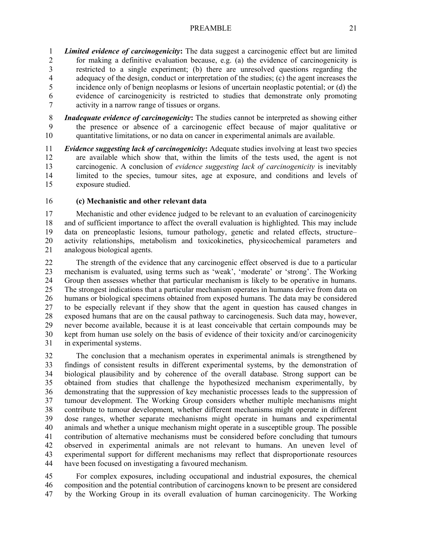*Limited evidence of carcinogenicity***:** The data suggest a carcinogenic effect but are limited for making a definitive evaluation because, e.g. (a) the evidence of carcinogenicity is restricted to a single experiment; (b) there are unresolved questions regarding the adequacy of the design, conduct or interpretation of the studies; (c) the agent increases the incidence only of benign neoplasms or lesions of uncertain neoplastic potential; or (d) the evidence of carcinogenicity is restricted to studies that demonstrate only promoting activity in a narrow range of tissues or organs.

 *Inadequate evidence of carcinogenicity***:** The studies cannot be interpreted as showing either the presence or absence of a carcinogenic effect because of major qualitative or quantitative limitations, or no data on cancer in experimental animals are available.

 *Evidence suggesting lack of carcinogenicity***:** Adequate studies involving at least two species are available which show that, within the limits of the tests used, the agent is not carcinogenic. A conclusion of *evidence suggesting lack of carcinogenicity* is inevitably limited to the species, tumour sites, age at exposure, and conditions and levels of exposure studied.

#### **(c) Mechanistic and other relevant data**

 Mechanistic and other evidence judged to be relevant to an evaluation of carcinogenicity and of sufficient importance to affect the overall evaluation is highlighted. This may include data on preneoplastic lesions, tumour pathology, genetic and related effects, structure– activity relationships, metabolism and toxicokinetics, physicochemical parameters and analogous biological agents.

 The strength of the evidence that any carcinogenic effect observed is due to a particular mechanism is evaluated, using terms such as 'weak', 'moderate' or 'strong'. The Working Group then assesses whether that particular mechanism is likely to be operative in humans. The strongest indications that a particular mechanism operates in humans derive from data on 26 humans or biological specimens obtained from exposed humans. The data may be considered<br>27 to be especially relevant if they show that the agent in question has caused changes in to be especially relevant if they show that the agent in question has caused changes in exposed humans that are on the causal pathway to carcinogenesis. Such data may, however, never become available, because it is at least conceivable that certain compounds may be kept from human use solely on the basis of evidence of their toxicity and/or carcinogenicity in experimental systems.

 The conclusion that a mechanism operates in experimental animals is strengthened by findings of consistent results in different experimental systems, by the demonstration of biological plausibility and by coherence of the overall database. Strong support can be obtained from studies that challenge the hypothesized mechanism experimentally, by demonstrating that the suppression of key mechanistic processes leads to the suppression of tumour development. The Working Group considers whether multiple mechanisms might contribute to tumour development, whether different mechanisms might operate in different dose ranges, whether separate mechanisms might operate in humans and experimental animals and whether a unique mechanism might operate in a susceptible group. The possible contribution of alternative mechanisms must be considered before concluding that tumours observed in experimental animals are not relevant to humans. An uneven level of experimental support for different mechanisms may reflect that disproportionate resources have been focused on investigating a favoured mechanism.

 For complex exposures, including occupational and industrial exposures, the chemical composition and the potential contribution of carcinogens known to be present are considered by the Working Group in its overall evaluation of human carcinogenicity. The Working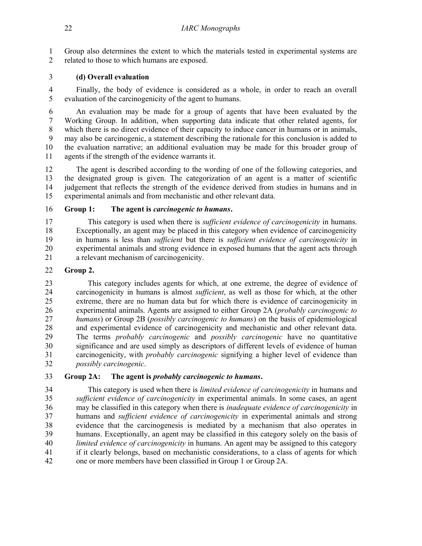Group also determines the extent to which the materials tested in experimental systems are related to those to which humans are exposed.

#### **(d) Overall evaluation**

 Finally, the body of evidence is considered as a whole, in order to reach an overall evaluation of the carcinogenicity of the agent to humans.

 An evaluation may be made for a group of agents that have been evaluated by the Working Group. In addition, when supporting data indicate that other related agents, for which there is no direct evidence of their capacity to induce cancer in humans or in animals, may also be carcinogenic, a statement describing the rationale for this conclusion is added to the evaluation narrative; an additional evaluation may be made for this broader group of agents if the strength of the evidence warrants it.

 The agent is described according to the wording of one of the following categories, and the designated group is given. The categorization of an agent is a matter of scientific judgement that reflects the strength of the evidence derived from studies in humans and in experimental animals and from mechanistic and other relevant data.

#### **Group 1: The agent is** *carcinogenic to humans***.**

 This category is used when there is *sufficient evidence of carcinogenicity* in humans. 18 Exceptionally, an agent may be placed in this category when evidence of carcinogenicity<br>19 in humans is less than *sufficient* but there is *sufficient evidence of carcinogenicity* in in humans is less than *sufficient* but there is *sufficient evidence of carcinogenicity* in experimental animals and strong evidence in exposed humans that the agent acts through a relevant mechanism of carcinogenicity.

## **Group 2.**

 This category includes agents for which, at one extreme, the degree of evidence of carcinogenicity in humans is almost *sufficient*, as well as those for which, at the other extreme, there are no human data but for which there is evidence of carcinogenicity in experimental animals. Agents are assigned to either Group 2A (*probably carcinogenic to humans*) or Group 2B (*possibly carcinogenic to humans*) on the basis of epidemiological and experimental evidence of carcinogenicity and mechanistic and other relevant data. The terms *probably carcinogenic* and *possibly carcinogenic* have no quantitative significance and are used simply as descriptors of different levels of evidence of human carcinogenicity, with *probably carcinogenic* signifying a higher level of evidence than *possibly carcinogenic*.

## **Group 2A: The agent is** *probably carcinogenic to humans***.**

 This category is used when there is *limited evidence of carcinogenicity* in humans and *sufficient evidence of carcinogenicity* in experimental animals. In some cases, an agent may be classified in this category when there is *inadequate evidence of carcinogenicity* in humans and *sufficient evidence of carcinogenicity* in experimental animals and strong evidence that the carcinogenesis is mediated by a mechanism that also operates in humans. Exceptionally, an agent may be classified in this category solely on the basis of *limited evidence of carcinogenicity* in humans. An agent may be assigned to this category if it clearly belongs, based on mechanistic considerations, to a class of agents for which one or more members have been classified in Group 1 or Group 2A.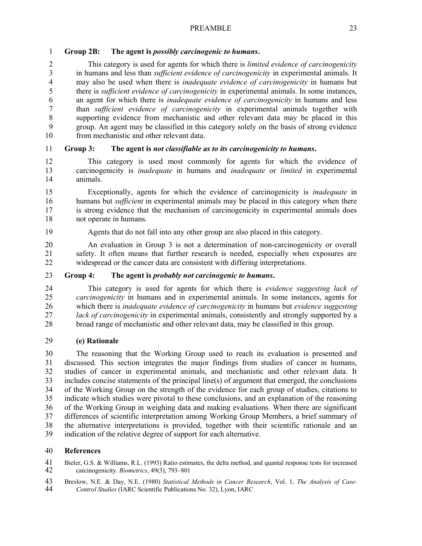## **Group 2B: The agent is** *possibly carcinogenic to humans***.**

 This category is used for agents for which there is *limited evidence of carcinogenicity* in humans and less than *sufficient evidence of carcinogenicity* in experimental animals. It may also be used when there is *inadequate evidence of carcinogenicity* in humans but there is *sufficient evidence of carcinogenicity* in experimental animals. In some instances, an agent for which there is *inadequate evidence of carcinogenicity* in humans and less than *sufficient evidence of carcinogenicity* in experimental animals together with supporting evidence from mechanistic and other relevant data may be placed in this group. An agent may be classified in this category solely on the basis of strong evidence from mechanistic and other relevant data.

## **Group 3: The agent is** *not classifiable as to its carcinogenicity to humans***.**

 This category is used most commonly for agents for which the evidence of carcinogenicity is *inadequate* in humans and *inadequate* or *limited* in experimental animals.

 Exceptionally, agents for which the evidence of carcinogenicity is *inadequate* in humans but *sufficient* in experimental animals may be placed in this category when there is strong evidence that the mechanism of carcinogenicity in experimental animals does not operate in humans.

Agents that do not fall into any other group are also placed in this category.

 An evaluation in Group 3 is not a determination of non-carcinogenicity or overall safety. It often means that further research is needed, especially when exposures are widespread or the cancer data are consistent with differing interpretations.

## **Group 4: The agent is** *probably not carcinogenic to humans***.**

 This category is used for agents for which there is *evidence suggesting lack of carcinogenicity* in humans and in experimental animals. In some instances, agents for which there is *inadequate evidence of carcinogenicity* in humans but *evidence suggesting lack of carcinogenicity* in experimental animals, consistently and strongly supported by a broad range of mechanistic and other relevant data, may be classified in this group.

## **(e) Rationale**

 The reasoning that the Working Group used to reach its evaluation is presented and discussed. This section integrates the major findings from studies of cancer in humans, studies of cancer in experimental animals, and mechanistic and other relevant data. It includes concise statements of the principal line(s) of argument that emerged, the conclusions of the Working Group on the strength of the evidence for each group of studies, citations to indicate which studies were pivotal to these conclusions, and an explanation of the reasoning of the Working Group in weighing data and making evaluations. When there are significant differences of scientific interpretation among Working Group Members, a brief summary of the alternative interpretations is provided, together with their scientific rationale and an indication of the relative degree of support for each alternative.

## **References**

41 Bieler, G.S. & Williams, R.L. (1993) Ratio estimates, the delta method, and quantal response tests for increased carcinogenicity. *Biometrics*, 49(3), 793–801 carcinogenicity. *Biometrics*, 49(3), 793–801

 Breslow, N.E. & Day, N.E. (1980) *Statistical Methods in Cancer Research*, Vol. 1, *The Analysis of Case-Control Studies* (IARC Scientific Publications No. 32), Lyon, IARC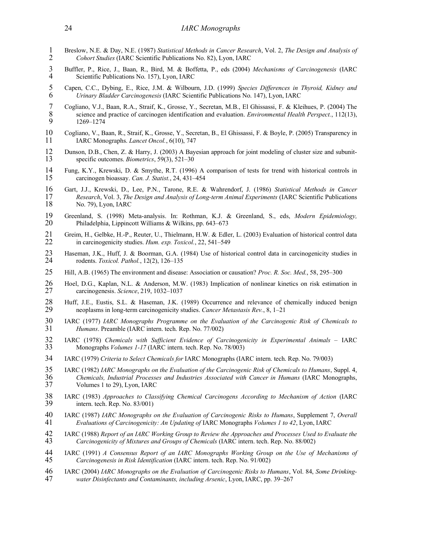- Breslow, N.E. & Day, N.E. (1987) *Statistical Methods in Cancer Research*, Vol. 2, *The Design and Analysis of Cohort Studies* (IARC Scientific Publications No. 82), Lyon, IARC
- Buffler, P., Rice, J., Baan, R., Bird, M. & Boffetta, P., eds (2004) *Mechanisms of Carcinogenesis* (IARC Scientific Publications No. 157), Lyon, IARC
- Capen, C.C., Dybing, E., Rice, J.M. & Wilbourn, J.D. (1999) *Species Differences in Thyroid, Kidney and Urinary Bladder Carcinogenesis* (IARC Scientific Publications No. 147), Lyon, IARC
- 7 Cogliano, V.J., Baan, R.A., Straif, K., Grosse, Y., Secretan, M.B., El Ghissassi, F. & Kleihues, P. (2004) The science and practice of carcinogen identification and evaluation. *Environmental Health Perspect*., 112(13), 8 science and practice of carcinogen identification and evaluation. *Environmental Health Perspect.*, 112(13), <br>9 1269–1274 1269–1274
- Cogliano, V., Baan, R., Straif, K., Grosse, Y., Secretan, B., El Ghissassi, F. & Boyle, P. (2005) Transparency in IARC Monographs. *Lancet Oncol.*, 6(10), 747
- 12 Dunson, D.B., Chen, Z. & Harry, J. (2003) A Bayesian approach for joint modeling of cluster size and subunit-<br>13 Dunsectific outcomes. *Biometrics*, 59(3), 521–30 specific outcomes. *Biometrics*, 59(3), 521–30
- 14 Fung, K.Y., Krewski, D. & Smythe, R.T. (1996) A comparison of tests for trend with historical controls in carcinogen bioassay. Can. J. Statist., 24, 431-454 carcinogen bioassay. *Can. J. Statist.*, 24, 431–454
- Gart, J.J., Krewski, D., Lee, P.N., Tarone, R.E. & Wahrendorf, J. (1986) *Statistical Methods in Cancer Research*, Vol. 3, *The Design and Analysis of Long-term Animal Experiments* (IARC Scientific Publications No. 79), Lyon, IARC
- Greenland, S. (1998) Meta-analysis. In: Rothman, K.J. & Greenland, S., eds, *Modern Epidemiology,* Philadelphia, Lippincott Williams & Wilkins, pp. 643–673
- 21 Greim, H., Gelbke, H.-P., Reuter, U., Thielmann, H.W. & Edler, L. (2003) Evaluation of historical control data<br>22 in carcinogenicity studies. *Hum. exp. Toxicol.*, 22, 541–549 in carcinogenicity studies. *Hum. exp. Toxicol.*, 22, 541–549
- 23 Haseman, J.K., Huff, J. & Boorman, G.A. (1984) Use of historical control data in carcinogenicity studies in rodents. Toxicol. Pathol., 12(2), 126-135 rodents. *Toxicol. Pathol.*, 12(2), 126–135
- Hill, A.B. (1965) The environment and disease: Association or causation? *Proc. R. Soc. Med.*, 58, 295–300
- 26 Hoel, D.G., Kaplan, N.L. & Anderson, M.W. (1983) Implication of nonlinear kinetics on risk estimation in carcinogenesis. Science, 219, 1032–1037 carcinogenesis. *Science*, 219, 1032–1037
- 28 Huff, J.E., Eustis, S.L. & Haseman, J.K. (1989) Occurrence and relevance of chemically induced benign neoplasms in long-term carcinogenicity studies. Cancer Metastasis Rev., 8, 1–21 neoplasms in long-term carcinogenicity studies. *Cancer Metastasis Rev.*, 8, 1–21
- IARC (1977) *IARC Monographs Programme on the Evaluation of the Carcinogenic Risk of Chemicals to Humans*. Preamble (IARC intern. tech. Rep. No. 77/002)
- 32 IARC (1978) *Chemicals with Sufficient Evidence of Carcinogenicity in Experimental Animals* IARC Monographs Volumes 1-17 (IARC intern. tech. Rep. No. 78/003) Monographs *Volumes 1-17* (IARC intern. tech. Rep. No. 78/003)
- IARC (1979) *Criteria to Select Chemicals for* IARC Monographs (IARC intern. tech. Rep. No. 79/003)
- IARC (1982) *IARC Monographs on the Evaluation of the Carcinogenic Risk of Chemicals to Humans*, Suppl. 4, *Chemicals, Industrial Processes and Industries Associated with Cancer in Humans* (IARC Monographs, Volumes 1 to 29), Lyon, IARC
- IARC (1983) *Approaches to Classifying Chemical Carcinogens According to Mechanism of Action* (IARC intern. tech. Rep. No. 83/001)
- IARC (1987) *IARC Monographs on the Evaluation of Carcinogenic Risks to Humans*, Supplement 7, *Overall Evaluations of Carcinogenicity: An Updating of* IARC Monographs *Volumes 1 to 42*, Lyon, IARC
- IARC (1988) *Report of an IARC Working Group to Review the Approaches and Processes Used to Evaluate the Carcinogenicity of Mixtures and Groups of Chemicals* (IARC intern. tech. Rep. No. 88/002)
- IARC (1991) *A Consensus Report of an IARC Monographs Working Group on the Use of Mechanisms of Carcinogenesis in Risk Identification* (IARC intern. tech. Rep. No. 91/002)
- IARC (2004) *IARC Monographs on the Evaluation of Carcinogenic Risks to Humans*, Vol. 84, *Some Drinking-water Disinfectants and Contaminants, including Arsenic*, Lyon, IARC, pp. 39–267